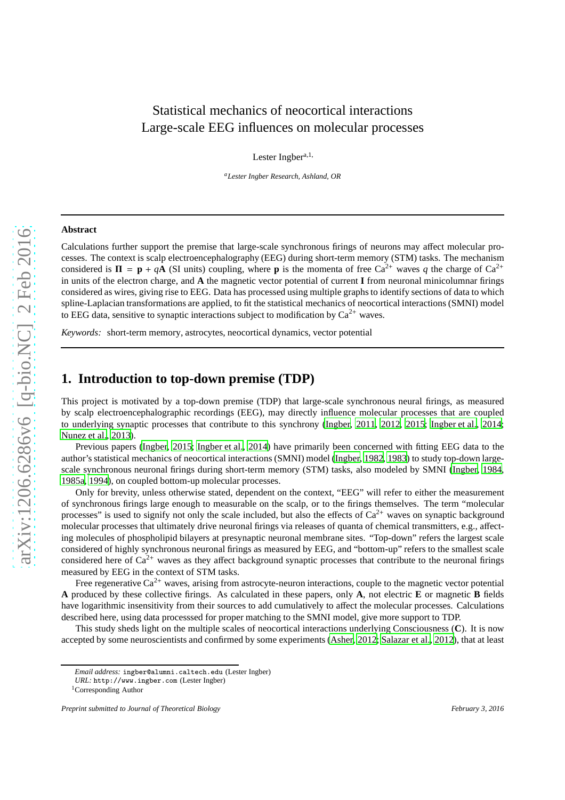# Statistical mechanics of neocortical interactions Large-scale EEG influences on molecular processes

Lester Ingber<sup>a, 1,</sup>

*<sup>a</sup>Lester Ingber Research, Ashland, OR*

#### **Abstract**

Calculations further support the premise that large-scale synchronous firings of neurons may affect molecular processes. The context is scalp electroencephalography (EEG) during short-term memory (STM) tasks. The mechanism considered is  $\Pi = \mathbf{p} + a\mathbf{A}$  (SI units) coupling, where **p** is the momenta of free  $Ca^{2+}$  waves *q* the charge of  $Ca^{2+}$ in units of the electron charge, and **A** the magnetic vector potential of current **I** from neuronal minicolumnar firings considered as wires, giving rise to EEG. Data has processed using multiple graphs to identify sections of data to which spline-Laplacian transformations are applied, to fit the statistical mechanics of neocortical interactions (SMNI) model to EEG data, sensitive to synaptic interactions subject to modification by  $Ca^{2+}$  waves.

*Keywords:* short-term memory, astrocytes, neocortical dynamics, vector potential

# **1. Introduction to top-down premise (TDP)**

This project is motivated by a top-down premise (TDP) that large-scale synchronous neural firings, as measured by scalp electroencephalographic recordings (EEG), may directly influence molecular processes that are coupled to underlying synaptic processes that contribute to this synchrony [\(Ingber, 2011](#page-14-0), [2012](#page-14-1), [2015;](#page-14-2) [Ingber et al., 2014](#page-14-3); [Nunez et al.](#page-15-0), [2013\)](#page-15-0).

Previous papers [\(Ingber](#page-14-2), [2015;](#page-14-2) [Ingber et al., 2014\)](#page-14-3) have primarily been concerned with fitting EEG data to the author's statistical mechanics of neocortical interactions (SMNI) model [\(Ingber, 1982,](#page-14-4) [1983](#page-14-5)) to study top-down largescale synchronous neuronal firings during short-term memory (STM) tasks, also modeled by SMNI [\(Ingber, 1984](#page-14-6), [1985a,](#page-14-7) [1994\)](#page-14-8), on coupled bottom-up molecular processes.

Only for brevity, unless otherwise stated, dependent on the context, "EEG" will refer to either the measurement of synchronous firings large enough to measurable on the scalp, or to the firings themselves. The term "molecular processes" is used to signify not only the scale included, but also the effects of  $Ca^{2+}$  waves on synaptic background molecular processes that ultimately drive neuronal firings via releases of quanta of chemical transmitters, e.g., affecting molecules of phospholipid bilayers at presynaptic neuronal membrane sites. "Top-down" refers the largest scale considered of highly synchronous neuronal firings as measured by EEG, and "bottom-up" refers to the smallest scale considered here of  $Ca^{2+}$  waves as they affect background synaptic processes that contribute to the neuronal firings measured by EEG in the context of STM tasks.

Free regenerative  $Ca^{2+}$  waves, arising from astrocyte-neuron interactions, couple to the magnetic vector potential **A** produced by these collective firings. As calculated in these papers, only **A**, not electric **E** or magnetic **B** fields have logarithmic insensitivity from their sources to add cumulatively to affect the molecular processes. Calculations described here, using data processsed for proper matching to the SMNI model, give more support to TDP.

This study sheds light on the multiple scales of neocortical interactions underlying Consciousness (**C**). It is now accepted by some neuroscientists and confirmed by some experiments [\(Asher, 2012;](#page-14-9) [Salazar et al., 2012\)](#page-15-1), that at least

*Email address:* ingber@alumni.caltech.edu (Lester Ingber)

*URL:* http://www.ingber.com (Lester Ingber)

<sup>1</sup>Corresponding Author

*Preprint submitted to Journal of Theoretical Biology February 3, 2016*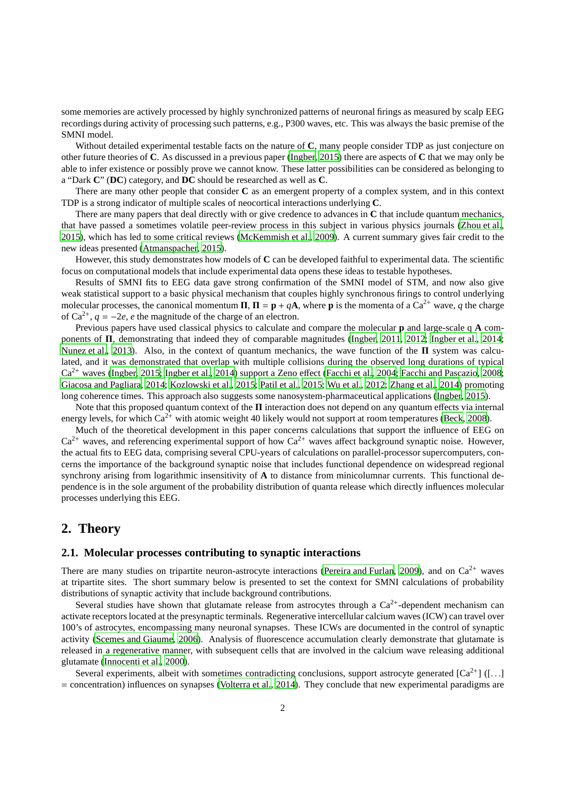some memories are actively processed by highly synchronized patterns of neuronal firings as measured by scalp EEG recordings during activity of processing such patterns, e.g., P300 waves, etc. This was always the basic premise of the SMNI model.

Without detailed experimental testable facts on the nature of **C**, many people consider TDP as just conjecture on other future theories of **C**. As discussed in a previous paper [\(Ingber, 2015\)](#page-14-2) there are aspects of **C** that we may only be able to infer existence or possibly prove we cannot know. These latter possibilities can be considered as belonging to a "Dark **C**" (**DC**) category, and **DC** should be researched as well as **C**.

There are many other people that consider **C** as an emergent property of a complex system, and in this context TDP is a strong indicator of multiple scales of neocortical interactions underlying **C**.

There are many papers that deal directly with or give credence to advances in **C** that include quantum mechanics, that have passed a sometimes volatile peer-review process in this subject in various physics journals [\(Zhou et al.](#page-15-2), [2015\)](#page-15-2), which has led to some critical reviews [\(McKemmish et al., 2009\)](#page-15-3). A current summary gives fair credit to the new ideas presented [\(Atmanspacher, 2015\)](#page-14-10).

However, this study demonstrates how models of **C** can be developed faithful to experimental data. The scientific focus on computational models that include experimental data opens these ideas to testable hypotheses.

Results of SMNI fits to EEG data gave strong confirmation of the SMNI model of STM, and now also give weak statistical support to a basic physical mechanism that couples highly synchronous firings to control underlying molecular processes, the canonical momentum  $\Pi$ ,  $\Pi = \mathbf{p} + q\mathbf{A}$ , where **p** is the momenta of a Ca<sup>2+</sup> wave, *q* the charge of  $Ca^{2+}$ ,  $q = -2e$ , *e* the magnitude of the charge of an electron.

Previous papers have used classical physics to calculate and compare the molecular **p** and large-scale q **A** components of Π, demonstrating that indeed they of comparable magnitudes [\(Ingber, 2011,](#page-14-0) [2012;](#page-14-1) [Ingber et al., 2014;](#page-14-3) [Nunez et al.](#page-15-0), [2013\)](#page-15-0). Also, in the context of quantum mechanics, the wave function of the Π system was calculated, and it was demonstrated that overlap with multiple collisions during the observed long durations of typical Ca<sup>2+</sup> waves [\(Ingber, 2015](#page-14-2); [Ingber et al., 2014\)](#page-14-3) support a Zeno effect [\(Facchi et al., 2004;](#page-14-11) [Facchi and Pascazio, 2008;](#page-14-12) [Giacosa and Pagliara, 2014;](#page-14-13) [Kozlowski et al.](#page-15-4), [2015;](#page-15-4) [Patil et](#page-15-5) al., [2015](#page-15-5); [Wu et al.](#page-15-6), [2012;](#page-15-6) [Zhang et al.](#page-15-7), [2014](#page-15-7)) promoting long coherence times. This approach also suggests some nanosystem-pharmaceutical applications [\(Ingber, 2015\)](#page-14-2).

Note that this proposed quantum context of the  $\Pi$  interaction does not depend on any quantum effects via internal energy levels, for which  $Ca^{2+}$  with atomic weight 40 likely would not support at room temperatures [\(Beck, 2008\)](#page-14-14).

Much of the theoretical development in this paper concerns calculations that support the influence of EEG on  $Ca^{2+}$  waves, and referencing experimental support of how  $Ca^{2+}$  waves affect background synaptic noise. However, the actual fits to EEG data, comprising several CPU-years of calculations on parallel-processor supercomputers, concerns the importance of the background synaptic noise that includes functional dependence on widespread regional synchrony arising from logarithmic insensitivity of **A** to distance from minicolumnar currents. This functional dependence is in the sole argument of the probability distribution of quanta release which directly influences molecular processes underlying this EEG.

## **2. Theory**

#### **2.1. Molecular processes contributing to synaptic interactions**

There are many studies on tripartite neuron-astrocyte interactions [\(Pereira and Furlan, 2009\)](#page-15-8), and on  $Ca^{2+}$  waves at tripartite sites. The short summary below is presented to set the context for SMNI calculations of probability distributions of synaptic activity that include background contributions.

Several studies have shown that glutamate release from astrocytes through a  $Ca^{2+}$ -dependent mechanism can activate receptors located at the presynaptic terminals. Regenerative intercellular calcium waves (ICW) can travel over 100's of astrocytes, encompassing many neuronal synapses. These ICWs are documented in the control of synaptic activity [\(Scemes and Giaume](#page-15-9), [2006](#page-15-9)). Analysis of fluorescence accumulation clearly demonstrate that glutamate is released in a regenerative manner, with subsequent cells that are involved in the calcium wave releasing additional glutamate [\(Innocenti et al.](#page-15-10), [2000](#page-15-10)).

Several experiments, albeit with sometimes contradicting conclusions, support astrocyte generated  $[Ca^{2+}]$  ([...]  $=$  concentration) influences on synapses [\(Volterra et al.](#page-15-11), [2014\)](#page-15-11). They conclude that new experimental paradigms are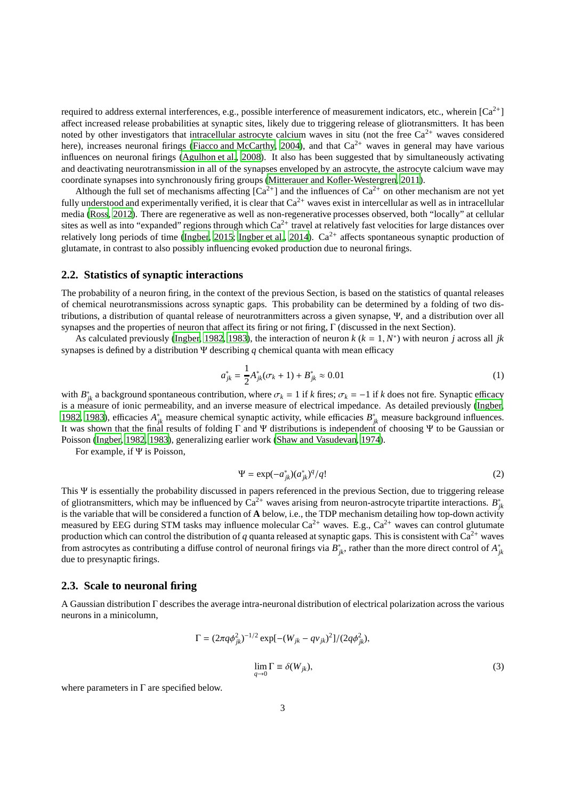required to address external interferences, e.g., possible interference of measurement indicators, etc., wherein  $[Ca^{2+}]$ affect increased release probabilities at synaptic sites, likely due to triggering release of gliotransmitters. It has been noted by other investigators that intracellular astrocyte calcium waves in situ (not the free  $Ca^{2+}$  waves considered here), increases neuronal firings [\(Fiacco and McCarthy, 2004\)](#page-14-15), and that  $Ca^{2+}$  waves in general may have various influences on neuronal firings [\(Agulhon et al., 2008\)](#page-14-16). It also has been suggested that by simultaneously activating and deactivating neurotransmission in all of the synapses enveloped by an astrocyte, the astrocyte calcium wave may coordinate synapses into synchronously firing groups [\(Mitterauer and Kofler-Westergren](#page-15-12), [2011](#page-15-12)).

Although the full set of mechanisms affecting  $[Ca^{2+}]$  and the influences of  $Ca^{2+}$  on other mechanism are not yet fully understood and experimentally verified, it is clear that  $Ca^{2+}$  waves exist in intercellular as well as in intracellular media [\(Ross](#page-15-13), [2012](#page-15-13)). There are regenerative as well as non-regenerative processes observed, both "locally" at cellular sites as well as into "expanded" regions through which  $Ca^{2+}$  travel at relatively fast velocities for large distances over relatively long periods of time [\(Ingber, 2015;](#page-14-2) [Ingber et al.](#page-14-3), [2014\)](#page-14-3).  $Ca^{2+}$  affects spontaneous synaptic production of glutamate, in contrast to also possibly influencing evoked production due to neuronal firings.

## **2.2. Statistics of synaptic interactions**

The probability of a neuron firing, in the context of the previous Section, is based on the statistics of quantal releases of chemical neurotransmissions across synaptic gaps. This probability can be determined by a folding of two distributions, a distribution of quantal release of neurotranmitters across a given synapse, Ψ, and a distribution over all synapses and the properties of neuron that affect its firing or not firing, Γ (discussed in the next Section).

As calculated previously [\(Ingber](#page-14-4), [1982](#page-14-4), [1983](#page-14-5)), the interaction of neuron  $k$  ( $k = 1, N^*$ ) with neuron *j* across all *jk* synapses is defined by a distribution Ψ describing *q* chemical quanta with mean efficacy

$$
a_{jk}^* = \frac{1}{2}A_{jk}^*(\sigma_k + 1) + B_{jk}^* \approx 0.01\tag{1}
$$

with  $B_{jk}^*$  a background spontaneous contribution, where  $\sigma_k = 1$  if *k* fires;  $\sigma_k = -1$  if *k* does not fire. Synaptic efficacy is a measure of ionic permeability, and an inverse measure of electrical impedance. As detailed previously [\(Ingber,](#page-14-4) [1982,](#page-14-4) [1983\)](#page-14-5), efficacies  $A_{jk}^*$  measure chemical synaptic activity, while efficacies  $B_{jk}^*$  measure background influences. It was shown that the final results of folding Γ and Ψ distributions is independent of choosing Ψ to be Gaussian or Poisson [\(Ingber, 1982,](#page-14-4) [1983](#page-14-5)), generalizing earlier work [\(Shaw and Vasudevan, 1974](#page-15-14)).

For example, if Ψ is Poisson,

$$
\Psi = \exp(-a_{jk}^*) (a_{jk}^*)^q / q! \tag{2}
$$

This Ψ is essentially the probability discussed in papers referenced in the previous Section, due to triggering release of gliotransmitters, which may be influenced by  $Ca^{2+}$  waves arising from neuron-astrocyte tripartite interactions.  $B_{jk}^*$ is the variable that will be considered a function of **A** below, i.e., the TDP mechanism detailing how top-down activity measured by EEG during STM tasks may influence molecular  $Ca^{2+}$  waves. E.g.,  $Ca^{2+}$  waves can control glutumate production which can control the distribution of *q* quanta released at synaptic gaps. This is consistent with  $Ca^{2+}$  waves from astrocytes as contributing a diffuse control of neuronal firings via  $B^*_{jk}$ , rather than the more direct control of  $A^*_{jk}$ due to presynaptic firings.

#### **2.3. Scale to neuronal firing**

A Gaussian distribution Γ describes the average intra-neuronal distribution of electrical polarization across the various neurons in a minicolumn,

$$
\Gamma = (2\pi q \phi_{jk}^2)^{-1/2} \exp[-(W_{jk} - qv_{jk})^2]/(2q\phi_{jk}^2),
$$
  

$$
\lim_{q \to 0} \Gamma \equiv \delta(W_{jk}),
$$
 (3)

where parameters in  $\Gamma$  are specified below.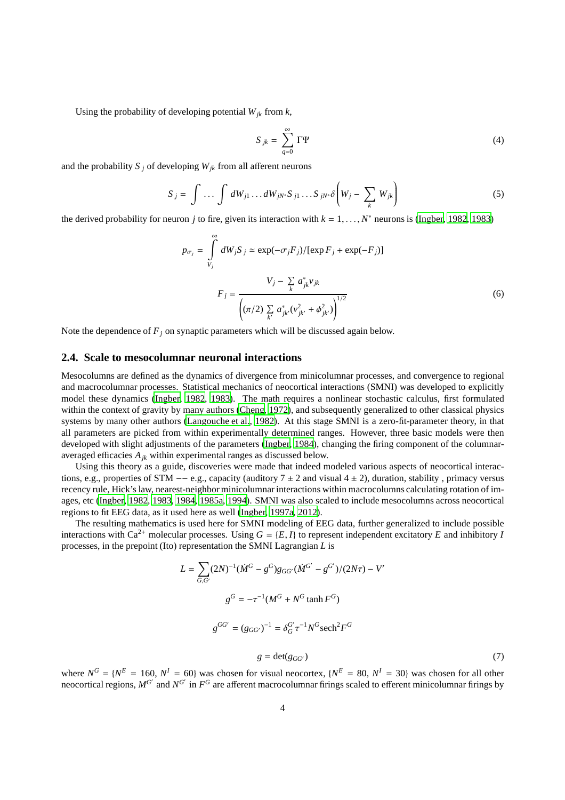Using the probability of developing potential  $W_{jk}$  from  $k$ ,

$$
S_{jk} = \sum_{q=0}^{\infty} \Gamma \Psi \tag{4}
$$

and the probability  $S_i$  of developing  $W_{ik}$  from all afferent neurons

$$
S_j = \int \dots \int dW_{j1} \dots dW_{jN^*} S_{j1} \dots S_{jN^*} \delta \left( W_j - \sum_k W_{jk} \right) \tag{5}
$$

the derived probability for neuron *j* to fire, given its interaction with  $k = 1, ..., N^*$  neurons is [\(Ingber, 1982,](#page-14-4) [1983\)](#page-14-5)

$$
p_{\sigma_j} = \int_{V_j}^{\infty} dW_j S_j \simeq \exp(-\sigma_j F_j) / [\exp F_j + \exp(-F_j)]
$$
  

$$
F_j = \frac{V_j - \sum_k a_{jk}^* v_{jk}}{(\pi/2) \sum_{k'} a_{jk'}^* (v_{jk'}^2 + \phi_{jk'}^2) \Big)^{1/2}}
$$
 (6)

Note the dependence of  $F_j$  on synaptic parameters which will be discussed again below.

## **2.4. Scale to mesocolumnar neuronal interactions**

Mesocolumns are defined as the dynamics of divergence from minicolumnar processes, and convergence to regional and macrocolumnar processes. Statistical mechanics of neocortical interactions (SMNI) was developed to explicitly model these dynamics [\(Ingber, 1982,](#page-14-4) [1983](#page-14-5)). The math requires a nonlinear stochastic calculus, first formulated within the context of gravity by many authors [\(Cheng, 1972](#page-14-17)), and subsequently generalized to other classical physics systems by many other authors [\(Langouche et al.](#page-15-15), [1982\)](#page-15-15). At this stage SMNI is a zero-fit-parameter theory, in that all parameters are picked from within experimentally determined ranges. However, three basic models were then developed with slight adjustments of the parameters [\(Ingber](#page-14-6), [1984](#page-14-6)), changing the firing component of the columnaraveraged efficacies *Ajk* within experimental ranges as discussed below.

Using this theory as a guide, discoveries were made that indeed modeled various aspects of neocortical interactions, e.g., properties of STM  $-$  e.g., capacity (auditory  $7 \pm 2$  and visual  $4 \pm 2$ ), duration, stability, primacy versus recency rule, Hick's law, nearest-neighbor minicolumnar interactions within macrocolumns calculating rotation of images, etc [\(Ingber, 1982,](#page-14-4) [1983,](#page-14-5) [1984,](#page-14-6) [1985a,](#page-14-7) [1994\)](#page-14-8). SMNI was also scaled to include mesocolumns across neocortical regions to fit EEG data, as it used here as well [\(Ingber, 1997a](#page-14-18), [2012\)](#page-14-1).

The resulting mathematics is used here for SMNI modeling of EEG data, further generalized to include possible interactions with Ca<sup>2+</sup> molecular processes. Using  $G = \{E, I\}$  to represent independent excitatory *E* and inhibitory *I* processes, in the prepoint (Ito) representation the SMNI Lagrangian *L* is

$$
L = \sum_{G,G'} (2N)^{-1} (\dot{M}^G - g^G) g_{GG'} (\dot{M}^{G'} - g^{G'}) / (2N\tau) - V'
$$
  

$$
g^G = -\tau^{-1} (M^G + N^G \tanh F^G)
$$
  

$$
g^{GG'} = (g_{GG'})^{-1} = \delta_G^G \tau^{-1} N^G \text{sech}^2 F^G
$$
  

$$
g = \det(g_{GG'}) \tag{7}
$$

where  $N^G = \{N^E = 160, N^I = 60\}$  was chosen for visual neocortex,  $\{N^E = 80, N^I = 30\}$  was chosen for all other neocortical regions,  $M^{G'}$  and  $N^{G'}$  in  $F^G$  are afferent macrocolumnar firings scaled to efferent minicolumnar firings by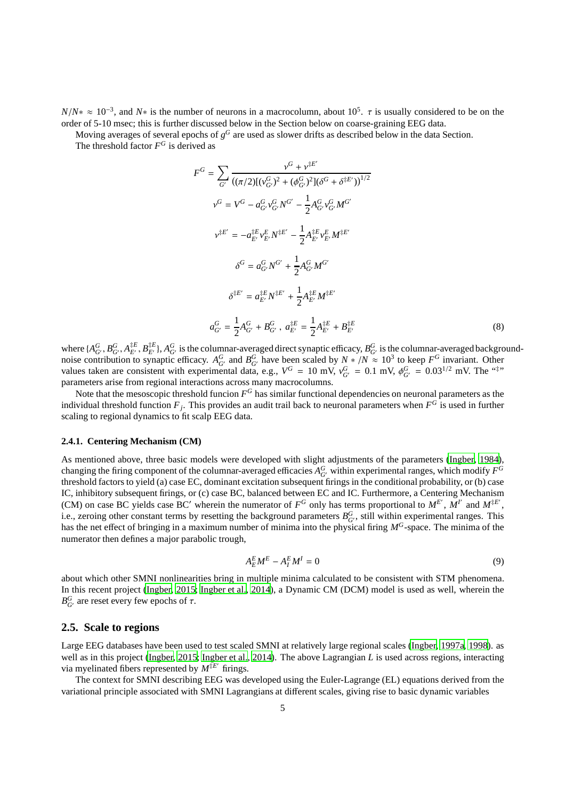$N/N^* \approx 10^{-3}$ , and  $N^*$  is the number of neurons in a macrocolumn, about 10<sup>5</sup>.  $\tau$  is usually considered to be on the order of 5-10 msec; this is further discussed below in the Section below on coarse-graining EEG data.

Moving averages of several epochs of  $g^G$  are used as slower drifts as described below in the data Section.

The threshold factor  $F^G$  is derived as

$$
F^{G} = \sum_{G'} \frac{v^{G} + v^{\ddagger E'}}{((\pi/2)[(v_{G'}^{G})^{2} + (\phi_{G'}^{G})^{2}](\delta^{G} + \delta^{\ddagger E'}))^{1/2}}
$$
  
\n
$$
v^{G} = V^{G} - a_{G'}^{G} v_{G'}^{G} N^{G'} - \frac{1}{2} A_{G'}^{G} v_{G'}^{G} M^{G'}
$$
  
\n
$$
v^{\ddagger E'} = -a_{E'}^{\ddagger E} v_{E'}^{E} N^{\ddagger E'} - \frac{1}{2} A_{E'}^{\ddagger E} v_{E'}^{E} M^{\ddagger E'}
$$
  
\n
$$
\delta^{G} = a_{G'}^{G} N^{G'} + \frac{1}{2} A_{G'}^{G} M^{G'}
$$
  
\n
$$
\delta^{\ddagger E'} = a_{E'}^{\ddagger E} N^{\ddagger E'} + \frac{1}{2} A_{E'}^{\ddagger E} M^{\ddagger E'}
$$
  
\n
$$
a_{G'}^{G} = \frac{1}{2} A_{G'}^{G} + B_{G'}^{G}, \ a_{E'}^{\ddagger E} = \frac{1}{2} A_{E'}^{\ddagger E} + B_{E'}^{\ddagger E}
$$
  
\n(8)

where  $\{A_{G'}^G, B_{G'}^G, A_{E'}^{\dagger E}, B_{E'}^{\dagger E}\}$ ,  $A_{G'}^G$  is the columnar-averaged direct synaptic efficacy,  $B_{G'}^G$  is the columnar-averaged backgroundnoise contribution to synaptic efficacy.  $A_G^G$  and  $B_G^G$  have been scaled by  $N \times /N \approx 10^3$  to keep  $F^G$  invariant. Other values taken are consistent with experimental data, e.g.,  $V^G = 10$  mV,  $v_{G'}^G = 0.1$  mV,  $\phi_{G'}^G = 0.03^{1/2}$  mV. The "#" parameters arise from regional interactions across many macrocolumns.

Note that the mesoscopic threshold funcion  $F^G$  has similar functional dependencies on neuronal parameters as the individual threshold function  $F_j$ . This provides an audit trail back to neuronal parameters when  $F^G$  is used in further scaling to regional dynamics to fit scalp EEG data.

#### **2.4.1. Centering Mechanism (CM)**

As mentioned above, three basic models were developed with slight adjustments of the parameters [\(Ingber, 1984\)](#page-14-6), changing the firing component of the columnar-averaged efficacies  $A_{G'}^G$  within experimental ranges, which modify  $F^G$ threshold factors to yield (a) case EC, dominant excitation subsequent firings in the conditional probability, or (b) case IC, inhibitory subsequent firings, or (c) case BC, balanced between EC and IC. Furthermore, a Centering Mechanism (CM) on case BC yields case BC' wherein the numerator of  $F^G$  only has terms proportional to  $M^{E'}$ ,  $M^{I'}$  and  $M^{\ddagger E'}$ , i.e., zeroing other constant terms by resetting the background parameters  $B_{G'}^G$ , still within experimental ranges. This has the net effect of bringing in a maximum number of minima into the physical firing *M<sup>G</sup>*-space. The minima of the numerator then defines a major parabolic trough,

$$
A_E^E M^E - A_I^E M^I = 0 \tag{9}
$$

about which other SMNI nonlinearities bring in multiple minima calculated to be consistent with STM phenomena. In this recent project [\(Ingber, 2015;](#page-14-2) [Ingber et al.](#page-14-3), [2014\)](#page-14-3), a Dynamic CM (DCM) model is used as well, wherein the  $B_{G'}^G$  are reset every few epochs of  $\tau$ .

#### **2.5. Scale to regions**

Large EEG databases have been used to test scaled SMNI at relatively large regional scales [\(Ingber, 1997a,](#page-14-18) [1998\)](#page-14-19). as well as in this project [\(Ingber, 2015;](#page-14-2) [Ingber et al., 2014\)](#page-14-3). The above Lagrangian *L* is used across regions, interacting via myelinated fibers represented by  $M^{\ddagger E'}$  firings.

The context for SMNI describing EEG was developed using the Euler-Lagrange (EL) equations derived from the variational principle associated with SMNI Lagrangians at different scales, giving rise to basic dynamic variables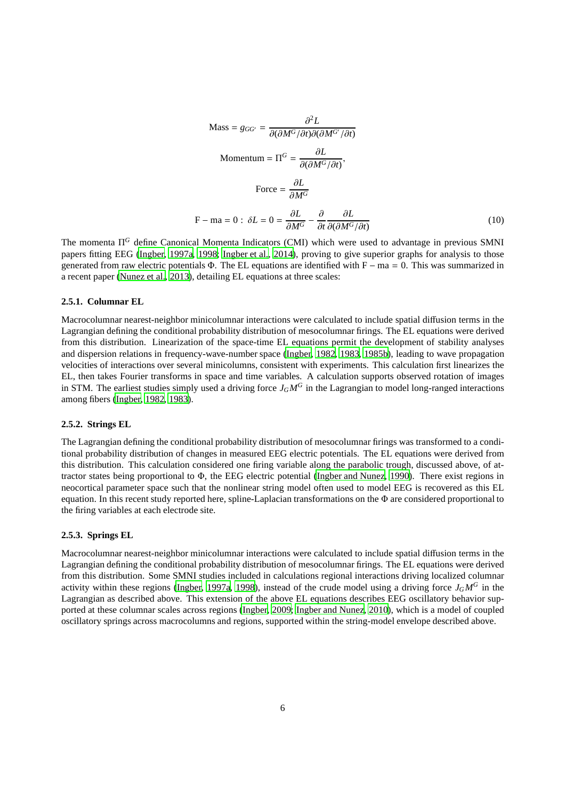Mass = 
$$
g_{GG'} = \frac{\partial^2 L}{\partial(\partial M^G / \partial t)\partial(\partial M^{G'} / \partial t)}
$$
  
\nMomentum =  $\Pi^G = \frac{\partial L}{\partial(\partial M^G / \partial t)}$ ,  
\nForce =  $\frac{\partial L}{\partial M^G}$   
\nF - ma = 0:  $\delta L = 0 = \frac{\partial L}{\partial M^G} - \frac{\partial}{\partial t} \frac{\partial L}{\partial(\partial M^G / \partial t)}$  (10)

The momenta Π *<sup>G</sup>* define Canonical Momenta Indicators (CMI) which were used to advantage in previous SMNI papers fitting EEG [\(Ingber, 1997a,](#page-14-18) [1998;](#page-14-19) [Ingber et al., 2014\)](#page-14-3), proving to give superior graphs for analysis to those generated from raw electric potentials  $\Phi$ . The EL equations are identified with F – ma = 0. This was summarized in a recent paper [\(Nunez et al., 2013\)](#page-15-0), detailing EL equations at three scales:

#### **2.5.1. Columnar EL**

Macrocolumnar nearest-neighbor minicolumnar interactions were calculated to include spatial diffusion terms in the Lagrangian defining the conditional probability distribution of mesocolumnar firings. The EL equations were derived from this distribution. Linearization of the space-time EL equations permit the development of stability analyses and dispersion relations in frequency-wave-number space [\(Ingber, 1982,](#page-14-4) [1983](#page-14-5), [1985b\)](#page-14-20), leading to wave propagation velocities of interactions over several minicolumns, consistent with experiments. This calculation first linearizes the EL, then takes Fourier transforms in space and time variables. A calculation supports observed rotation of images in STM. The earliest studies simply used a driving force  $J_GM^G$  in the Lagrangian to model long-ranged interactions among fibers [\(Ingber](#page-14-4), [1982,](#page-14-4) [1983\)](#page-14-5).

#### **2.5.2. Strings EL**

The Lagrangian defining the conditional probability distribution of mesocolumnar firings was transformed to a conditional probability distribution of changes in measured EEG electric potentials. The EL equations were derived from this distribution. This calculation considered one firing variable along the parabolic trough, discussed above, of attractor states being proportional to Φ, the EEG electric potential [\(Ingber and Nunez](#page-14-21), [1990\)](#page-14-21). There exist regions in neocortical parameter space such that the nonlinear string model often used to model EEG is recovered as this EL equation. In this recent study reported here, spline-Laplacian transformations on the Φ are considered proportional to the firing variables at each electrode site.

#### **2.5.3. Springs EL**

Macrocolumnar nearest-neighbor minicolumnar interactions were calculated to include spatial diffusion terms in the Lagrangian defining the conditional probability distribution of mesocolumnar firings. The EL equations were derived from this distribution. Some SMNI studies included in calculations regional interactions driving localized columnar activity within these regions [\(Ingber, 1997a,](#page-14-18) [1998](#page-14-19)), instead of the crude model using a driving force  $J_G M^G$  in the Lagrangian as described above. This extension of the above EL equations describes EEG oscillatory behavior supported at these columnar scales across regions [\(Ingber, 2009;](#page-14-22) [Ingber and Nunez, 2010\)](#page-14-23), which is a model of coupled oscillatory springs across macrocolumns and regions, supported within the string-model envelope described above.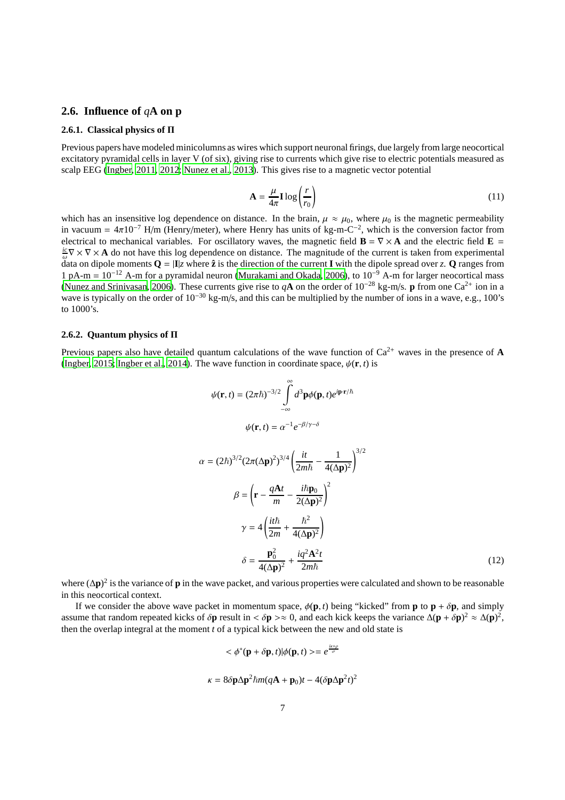## **2.6. Influence of** *q***A on p**

### **2.6.1. Classical physics of** Π

Previous papers have modeled minicolumns as wires which support neuronal firings, due largely from large neocortical excitatory pyramidal cells in layer V (of six), giving rise to currents which give rise to electric potentials measured as scalp EEG [\(Ingber, 2011,](#page-14-0) [2012;](#page-14-1) [Nunez et al., 2013\)](#page-15-0). This gives rise to a magnetic vector potential

$$
\mathbf{A} = \frac{\mu}{4\pi} \mathbf{I} \log \left( \frac{r}{r_0} \right) \tag{11}
$$

which has an insensitive log dependence on distance. In the brain,  $\mu \approx \mu_0$ , where  $\mu_0$  is the magnetic permeability in vacuum =  $4\pi 10^{-7}$  H/m (Henry/meter), where Henry has units of kg-m-C<sup>-2</sup>, which is the conversion factor from electrical to mechanical variables. For oscillatory waves, the magnetic field  $\mathbf{B} = \nabla \times \mathbf{A}$  and the electric field  $\mathbf{E} =$  $\frac{i\sigma}{\omega} \nabla \times \nabla \times \mathbf{A}$  do not have this log dependence on distance. The magnitude of the current is taken from experimental data on dipole moments  $Q = |I|z$  where  $\hat{z}$  is the direction of the current **I** with the dipole spread over z. **Q** ranges from 1 pA-m =  $10^{-12}$  A-m for a pyramidal neuron [\(Murakami and Okada, 2006\)](#page-15-16), to  $10^{-9}$  A-m for larger neocortical mass [\(Nunez and Srinivasan, 2006\)](#page-15-17). These currents give rise to  $qA$  on the order of  $10^{-28}$  kg-m/s. **p** from one Ca<sup>2+</sup> ion in a wave is typically on the order of 10<sup>−</sup><sup>30</sup> kg-m/s, and this can be multiplied by the number of ions in a wave, e.g., 100's to 1000's.

#### **2.6.2. Quantum physics of** Π

Previous papers also have detailed quantum calculations of the wave function of  $Ca^{2+}$  waves in the presence of **A** [\(Ingber, 2015;](#page-14-2) [Ingber et al., 2014\)](#page-14-3). The wave function in coordinate space,  $\psi(\mathbf{r}, t)$  is

$$
\psi(\mathbf{r},t) = (2\pi\hbar)^{-3/2} \int_{-\infty}^{\infty} d^3 \mathbf{p} \phi(\mathbf{p},t) e^{i\mathbf{p}\cdot\mathbf{r}/\hbar}
$$

$$
\psi(\mathbf{r},t) = \alpha^{-1} e^{-\beta/\gamma - \delta}
$$

 $\alpha$ 

$$
= (2\hbar)^{3/2} (2\pi (\Delta \mathbf{p})^2)^{3/4} \left( \frac{i t}{2m\hbar} - \frac{1}{4(\Delta \mathbf{p})^2} \right)^{3/2}
$$

$$
\beta = \left( \mathbf{r} - \frac{q\mathbf{A}t}{m} - \frac{i\hbar \mathbf{p}_0}{2(\Delta \mathbf{p})^2} \right)^2
$$

$$
\gamma = 4 \left( \frac{i t \hbar}{2m} + \frac{\hbar^2}{4(\Delta \mathbf{p})^2} \right)
$$

$$
\delta = \frac{\mathbf{p}_0^2}{4(\Delta \mathbf{p})^2} + \frac{i q^2 \mathbf{A}^2 t}{2m\hbar}
$$
(12)

where (∆**p**) 2 is the variance of **p** in the wave packet, and various properties were calculated and shown to be reasonable in this neocortical context.

If we consider the above wave packet in momentum space,  $\phi(\mathbf{p}, t)$  being "kicked" from **p** to **p** +  $\delta \mathbf{p}$ , and simply assume that random repeated kicks of  $\delta p$  result in <  $\delta p \gg 0$ , and each kick keeps the variance  $\Delta(p + \delta p)^2 \approx \Delta(p)^2$ , then the overlap integral at the moment *t* of a typical kick between the new and old state is

$$
\langle \phi^*(\mathbf{p} + \delta \mathbf{p}, t) | \phi(\mathbf{p}, t) \rangle = e^{\frac{ik+\rho}{\sigma}}
$$

$$
\kappa = 8\delta \mathbf{p} \Delta \mathbf{p}^2 \hbar m (q\mathbf{A} + \mathbf{p}_0)t - 4(\delta \mathbf{p} \Delta \mathbf{p}^2 t)^2
$$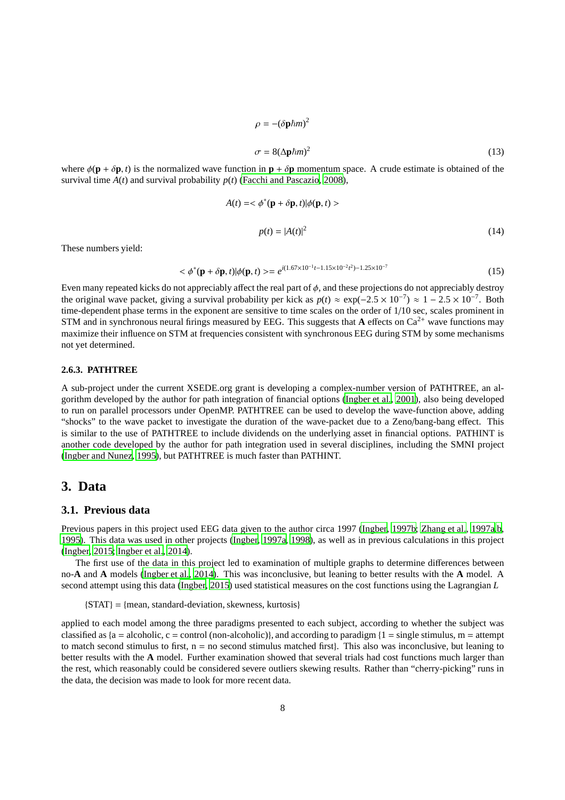$$
\rho = -(\delta \mathbf{p} \hbar m)^2
$$
  

$$
\sigma = 8(\Delta \mathbf{p} \hbar m)^2
$$
 (13)

where  $\phi(\mathbf{p} + \delta \mathbf{p}, t)$  is the normalized wave function in  $\mathbf{p} + \delta \mathbf{p}$  momentum space. A crude estimate is obtained of the survival time  $A(t)$  and survival probability  $p(t)$  [\(Facchi and Pascazio](#page-14-12), [2008\)](#page-14-12),

$$
A(t) = \langle \phi^*(\mathbf{p} + \delta \mathbf{p}, t) | \phi(\mathbf{p}, t) \rangle
$$
  

$$
p(t) = |A(t)|^2
$$
 (14)

These numbers yield:

$$
\langle \phi^*(\mathbf{p} + \delta \mathbf{p}, t) | \phi(\mathbf{p}, t) \rangle = e^{i(1.67 \times 10^{-1} t - 1.15 \times 10^{-2} t^2) - 1.25 \times 10^{-7}}
$$
\n(15)

Even many repeated kicks do not appreciably affect the real part of  $\phi$ , and these projections do not appreciably destroy the original wave packet, giving a survival probability per kick as  $p(t) \approx \exp(-2.5 \times 10^{-7}) \approx 1 - 2.5 \times 10^{-7}$ . Both time-dependent phase terms in the exponent are sensitive to time scales on the order of 1/10 sec, scales prominent in STM and in synchronous neural firings measured by EEG. This suggests that **A** effects on  $Ca^{2+}$  wave functions may maximize their influence on STM at frequencies consistent with synchronous EEG during STM by some mechanisms not yet determined.

#### **2.6.3. PATHTREE**

A sub-project under the current XSEDE.org grant is developing a complex-number version of PATHTREE, an algorithm developed by the author for path integration of financial options [\(Ingber et al., 2001](#page-14-24)), also being developed to run on parallel processors under OpenMP. PATHTREE can be used to develop the wave-function above, adding "shocks" to the wave packet to investigate the duration of the wave-packet due to a Zeno/bang-bang effect. This is similar to the use of PATHTREE to include dividends on the underlying asset in financial options. PATHINT is another code developed by the author for path integration used in several disciplines, including the SMNI project [\(Ingber and Nunez](#page-14-25), [1995](#page-14-25)), but PATHTREE is much faster than PATHINT.

# **3. Data**

### **3.1. Previous data**

Previous papers in this project used EEG data given to the author circa 1997 [\(Ingber, 1997b;](#page-14-26) [Zhang et al., 1997a](#page-15-18)[,b](#page-15-19), [1995\)](#page-15-20). This data was used in other projects [\(Ingber, 1997a](#page-14-18), [1998\)](#page-14-19), as well as in previous calculations in this project [\(Ingber, 2015;](#page-14-2) [Ingber et al., 2014\)](#page-14-3).

The first use of the data in this project led to examination of multiple graphs to determine differences between no-**A** and **A** models [\(Ingber et al.](#page-14-3), [2014\)](#page-14-3). This was inconclusive, but leaning to better results with the **A** model. A second attempt using this data [\(Ingber, 2015\)](#page-14-2) used statistical measures on the cost functions using the Lagrangian *L*

{STAT} = {mean, standard-deviation, skewness, kurtosis}

applied to each model among the three paradigms presented to each subject, according to whether the subject was classified as  ${a =$  alcoholic,  $c =$  control (non-alcoholic)), and according to paradigm  ${1 =$  single stimulus, m = attempt to match second stimulus to first,  $n = no$  second stimulus matched first $\}$ . This also was inconclusive, but leaning to better results with the **A** model. Further examination showed that several trials had cost functions much larger than the rest, which reasonably could be considered severe outliers skewing results. Rather than "cherry-picking" runs in the data, the decision was made to look for more recent data.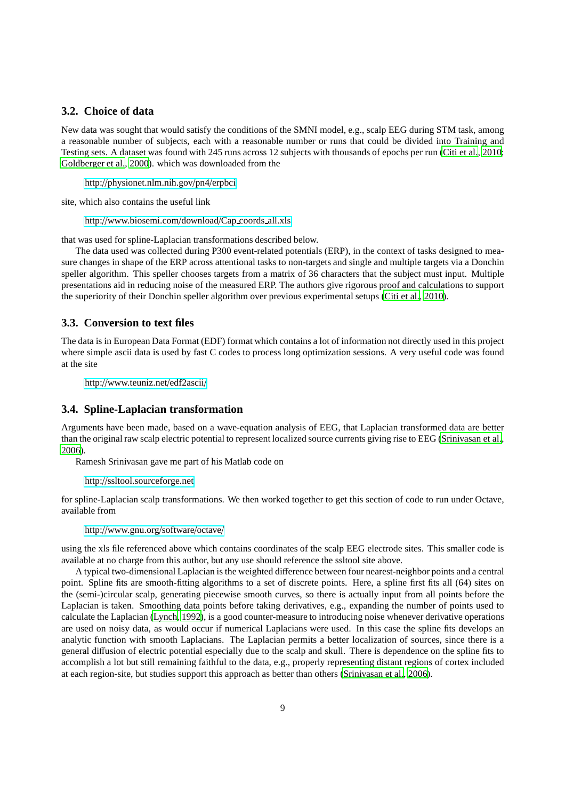## **3.2. Choice of data**

New data was sought that would satisfy the conditions of the SMNI model, e.g., scalp EEG during STM task, among a reasonable number of subjects, each with a reasonable number or runs that could be divided into Training and Testing sets. A dataset was found with 245 runs across 12 subjects with thousands of epochs per run [\(Citi et al.](#page-14-27), [2010](#page-14-27); [Goldberger et al., 2000\)](#page-14-28). which was downloaded from the

http://[physionet.nlm.nih.gov](http://physionet.nlm.nih.gov/pn4/erpbci)/pn4/erpbci

site, which also contains the useful link

http://[www.biosemi.com](http://www.biosemi.com/download/Cap_coords_all.xls)/download/Cap coords all.xls

that was used for spline-Laplacian transformations described below.

The data used was collected during P300 event-related potentials (ERP), in the context of tasks designed to measure changes in shape of the ERP across attentional tasks to non-targets and single and multiple targets via a Donchin speller algorithm. This speller chooses targets from a matrix of 36 characters that the subject must input. Multiple presentations aid in reducing noise of the measured ERP. The authors give rigorous proof and calculations to support the superiority of their Donchin speller algorithm over previous experimental setups [\(Citi et al., 2010\)](#page-14-27).

### **3.3. Conversion to text files**

The data is in European Data Format (EDF) format which contains a lot of information not directly used in this project where simple ascii data is used by fast C codes to process long optimization sessions. A very useful code was found at the site

http://[www.teuniz.net](http://www.teuniz.net/edf2ascii/)/edf2ascii/

### **3.4. Spline-Laplacian transformation**

Arguments have been made, based on a wave-equation analysis of EEG, that Laplacian transformed data are better than the original raw scalp electric potential to represent localized source currents giving rise to EEG [\(Srinivasan et](#page-15-21) al., [2006\)](#page-15-21).

Ramesh Srinivasan gave me part of his Matlab code on

http://[ssltool.sourceforge.net](http://ssltool.sourceforge.net)

for spline-Laplacian scalp transformations. We then worked together to get this section of code to run under Octave, available from

http://[www.gnu.org](http://www.gnu.org/software/octave/)/software/octave/

using the xls file referenced above which contains coordinates of the scalp EEG electrode sites. This smaller code is available at no charge from this author, but any use should reference the ssltool site above.

A typical two-dimensional Laplacian is the weighted difference between four nearest-neighbor points and a central point. Spline fits are smooth-fitting algorithms to a set of discrete points. Here, a spline first fits all (64) sites on the (semi-)circular scalp, generating piecewise smooth curves, so there is actually input from all points before the Laplacian is taken. Smoothing data points before taking derivatives, e.g., expanding the number of points used to calculate the Laplacian [\(Lynch, 1992](#page-15-22)), is a good counter-measure to introducing noise whenever derivative operations are used on noisy data, as would occur if numerical Laplacians were used. In this case the spline fits develops an analytic function with smooth Laplacians. The Laplacian permits a better localization of sources, since there is a general diffusion of electric potential especially due to the scalp and skull. There is dependence on the spline fits to accomplish a lot but still remaining faithful to the data, e.g., properly representing distant regions of cortex included at each region-site, but studies support this approach as better than others [\(Srinivasan et al.](#page-15-21), [2006\)](#page-15-21).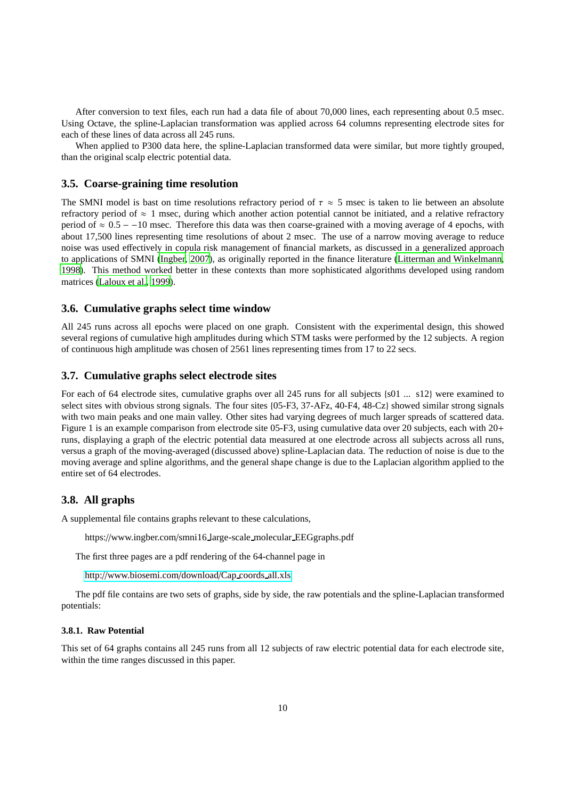After conversion to text files, each run had a data file of about 70,000 lines, each representing about 0.5 msec. Using Octave, the spline-Laplacian transformation was applied across 64 columns representing electrode sites for each of these lines of data across all 245 runs.

When applied to P300 data here, the spline-Laplacian transformed data were similar, but more tightly grouped, than the original scalp electric potential data.

### **3.5. Coarse-graining time resolution**

The SMNI model is bast on time resolutions refractory period of  $\tau \approx 5$  msec is taken to lie between an absolute refractory period of  $\approx$  1 msec, during which another action potential cannot be initiated, and a relative refractory period of  $\approx 0.5 - 10$  msec. Therefore this data was then coarse-grained with a moving average of 4 epochs, with about 17,500 lines representing time resolutions of about 2 msec. The use of a narrow moving average to reduce noise was used effectively in copula risk management of financial markets, as discussed in a generalized approach to applications of SMNI [\(Ingber, 2007\)](#page-14-29), as originally reported in the finance literature [\(Litterman and Winkelmann,](#page-15-23) [1998\)](#page-15-23). This method worked better in these contexts than more sophisticated algorithms developed using random matrices [\(Laloux et al.](#page-15-24), [1999](#page-15-24)).

#### **3.6. Cumulative graphs select time window**

All 245 runs across all epochs were placed on one graph. Consistent with the experimental design, this showed several regions of cumulative high amplitudes during which STM tasks were performed by the 12 subjects. A region of continuous high amplitude was chosen of 2561 lines representing times from 17 to 22 secs.

#### **3.7. Cumulative graphs select electrode sites**

For each of 64 electrode sites, cumulative graphs over all 245 runs for all subjects {s01 ... s12} were examined to select sites with obvious strong signals. The four sites {05-F3, 37-AFz, 40-F4, 48-Cz} showed similar strong signals with two main peaks and one main valley. Other sites had varying degrees of much larger spreads of scattered data. Figure 1 is an example comparison from electrode site 05-F3, using cumulative data over 20 subjects, each with 20+ runs, displaying a graph of the electric potential data measured at one electrode across all subjects across all runs, versus a graph of the moving-averaged (discussed above) spline-Laplacian data. The reduction of noise is due to the moving average and spline algorithms, and the general shape change is due to the Laplacian algorithm applied to the entire set of 64 electrodes.

## **3.8. All graphs**

A supplemental file contains graphs relevant to these calculations,

https://www.ingber.com/smni16 large-scale molecular EEGgraphs.pdf

The first three pages are a pdf rendering of the 64-channel page in

http://[www.biosemi.com](http://www.biosemi.com/download/Cap_coords_all.xls)/download/Cap coords all.xls

The pdf file contains are two sets of graphs, side by side, the raw potentials and the spline-Laplacian transformed potentials:

## **3.8.1. Raw Potential**

This set of 64 graphs contains all 245 runs from all 12 subjects of raw electric potential data for each electrode site, within the time ranges discussed in this paper.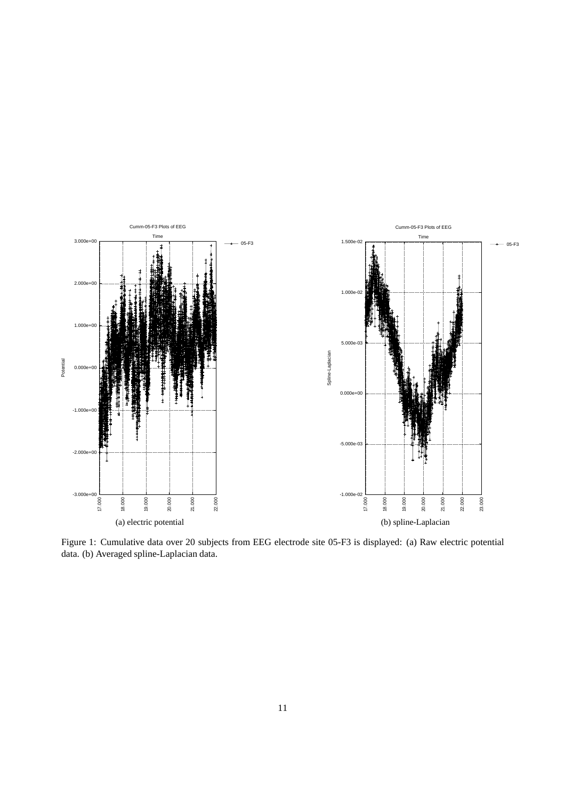

Figure 1: Cumulative data over 20 subjects from EEG electrode site 05-F3 is displayed: (a) Raw electric potential data. (b) Averaged spline-Laplacian data.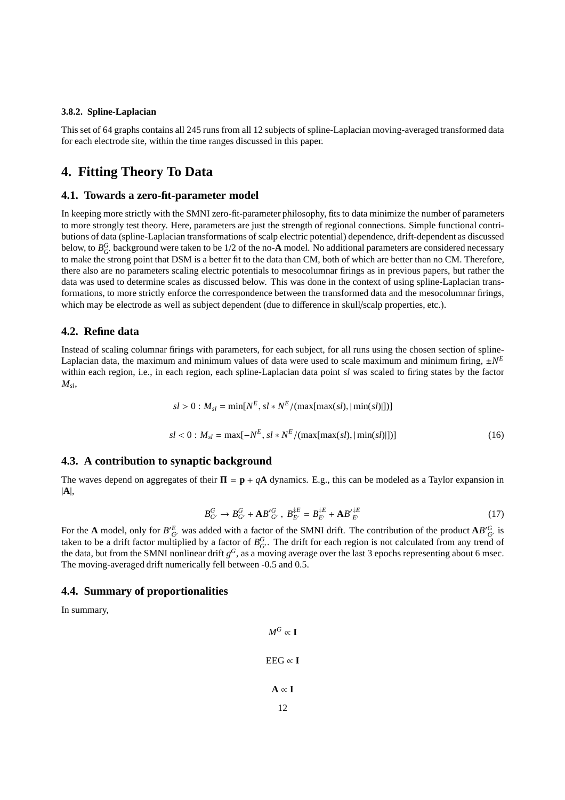#### **3.8.2. Spline-Laplacian**

This set of 64 graphs contains all 245 runs from all 12 subjects of spline-Laplacian moving-averaged transformed data for each electrode site, within the time ranges discussed in this paper.

# **4. Fitting Theory To Data**

### **4.1. Towards a zero-fit-parameter model**

In keeping more strictly with the SMNI zero-fit-parameter philosophy, fits to data minimize the number of parameters to more strongly test theory. Here, parameters are just the strength of regional connections. Simple functional contributions of data (spline-Laplacian transformations of scalp electric potential) dependence, drift-dependent as discussed below, to  $B_{G'}^G$  background were taken to be 1/2 of the no- $A$  model. No additional parameters are considered necessary to make the strong point that DSM is a better fit to the data than CM, both of which are better than no CM. Therefore, there also are no parameters scaling electric potentials to mesocolumnar firings as in previous papers, but rather the data was used to determine scales as discussed below. This was done in the context of using spline-Laplacian transformations, to more strictly enforce the correspondence between the transformed data and the mesocolumnar firings, which may be electrode as well as subject dependent (due to difference in skull/scalp properties, etc.).

## **4.2. Refine data**

Instead of scaling columnar firings with parameters, for each subject, for all runs using the chosen section of spline-Laplacian data, the maximum and minimum values of data were used to scale maximum and minimum firing,  $\pm N^E$ within each region, i.e., in each region, each spline-Laplacian data point *sl* was scaled to firing states by the factor  $M_{sl}$ 

$$
sl > 0: M_{sl} = \min[N^{E}, sl*N^{E}/(\max[\max(sl), |\min(sl)|])]
$$
  

$$
sl < 0: M_{sl} = \max[-N^{E}, sl*N^{E}/(\max[\max(sl), |\min(sl)|])]
$$
 (16)

### **4.3. A contribution to synaptic background**

The waves depend on aggregates of their  $\Pi = \mathbf{p} + q\mathbf{A}$  dynamics. E.g., this can be modeled as a Taylor expansion in |**A**|,

$$
B_{G'}^G \to B_{G'}^G + \mathbf{A} B_{G'}^{'G}, \ B_{E'}^{\ddagger E} = B_{E'}^{\ddagger E} + \mathbf{A} B_{E'}^{\dagger E} \tag{17}
$$

For the **A** model, only for  $B'_{G'}^E$  was added with a factor of the SMNI drift. The contribution of the product  $AB'_{G'}^G$  is taken to be a drift factor multiplied by a factor of  $B_{G'}^G$ . The drift for each region is not calculated from any trend of the data, but from the SMNI nonlinear drift  $g^G$ , as a moving average over the last 3 epochs representing about 6 msec. The moving-averaged drift numerically fell between -0.5 and 0.5.

### **4.4. Summary of proportionalities**

In summary,

$$
M^G \propto \mathbf{I}
$$
  
EEG  $\propto$   $\mathbf{I}$   
A  $\propto$   $\mathbf{I}$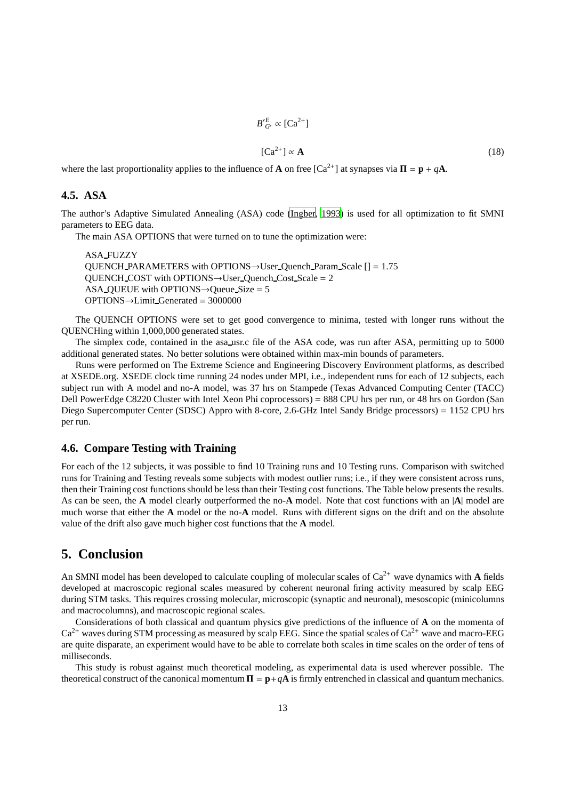$$
B'_{G'}^E \propto [Ca^{2+}]
$$
  
\n
$$
[Ca^{2+}] \propto A
$$
 (18)

where the last proportionality applies to the influence of **A** on free  $[Ca^{2+}]$  at synapses via  $\Pi = \mathbf{p} + q\mathbf{A}$ .

′*E*

## **4.5. ASA**

The author's Adaptive Simulated Annealing (ASA) code [\(Ingber](#page-14-30), [1993\)](#page-14-30) is used for all optimization to fit SMNI parameters to EEG data.

The main ASA OPTIONS that were turned on to tune the optimization were:

ASA FUZZY QUENCH PARAMETERS with OPTIONS $\rightarrow$ User Quench Param Scale [] = 1.75  $QUENCH$ <sub>COST</sub> with OPTIONS $\rightarrow$ User Quench<sub>Cost</sub> Scale = 2 ASA QUEUE with OPTIONS $\rightarrow$ Queue Size = 5  $OPTIONS \rightarrow Limit\_Generate = 3000000$ 

The QUENCH OPTIONS were set to get good convergence to minima, tested with longer runs without the QUENCHing within 1,000,000 generated states.

The simplex code, contained in the asa usr.c file of the ASA code, was run after ASA, permitting up to 5000 additional generated states. No better solutions were obtained within max-min bounds of parameters.

Runs were performed on The Extreme Science and Engineering Discovery Environment platforms, as described at XSEDE.org. XSEDE clock time running 24 nodes under MPI, i.e., independent runs for each of 12 subjects, each subject run with A model and no-A model, was 37 hrs on Stampede (Texas Advanced Computing Center (TACC) Dell PowerEdge C8220 Cluster with Intel Xeon Phi coprocessors) = 888 CPU hrs per run, or 48 hrs on Gordon (San Diego Supercomputer Center (SDSC) Appro with 8-core, 2.6-GHz Intel Sandy Bridge processors) = 1152 CPU hrs per run.

## **4.6. Compare Testing with Training**

For each of the 12 subjects, it was possible to find 10 Training runs and 10 Testing runs. Comparison with switched runs for Training and Testing reveals some subjects with modest outlier runs; i.e., if they were consistent across runs, then their Training cost functions should be less than their Testing cost functions. The Table below presents the results. As can be seen, the **A** model clearly outperformed the no-**A** model. Note that cost functions with an |**A**| model are much worse that either the **A** model or the no-**A** model. Runs with different signs on the drift and on the absolute value of the drift also gave much higher cost functions that the **A** model.

# **5. Conclusion**

An SMNI model has been developed to calculate coupling of molecular scales of  $Ca<sup>2+</sup>$  wave dynamics with **A** fields developed at macroscopic regional scales measured by coherent neuronal firing activity measured by scalp EEG during STM tasks. This requires crossing molecular, microscopic (synaptic and neuronal), mesoscopic (minicolumns and macrocolumns), and macroscopic regional scales.

Considerations of both classical and quantum physics give predictions of the influence of **A** on the momenta of  $Ca^{2+}$  waves during STM processing as measured by scalp EEG. Since the spatial scales of  $Ca^{2+}$  wave and macro-EEG are quite disparate, an experiment would have to be able to correlate both scales in time scales on the order of tens of milliseconds.

This study is robust against much theoretical modeling, as experimental data is used wherever possible. The theoretical construct of the canonical momentum  $\Pi = \mathbf{p} + q\mathbf{A}$  is firmly entrenched in classical and quantum mechanics.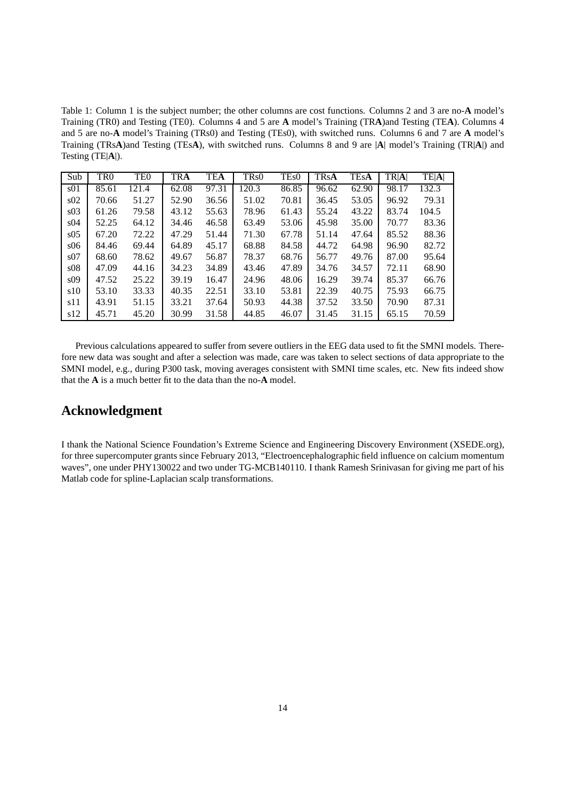Table 1: Column 1 is the subject number; the other columns are cost functions. Columns 2 and 3 are no-**A** model's Training (TR0) and Testing (TE0). Columns 4 and 5 are **A** model's Training (TR**A**)and Testing (TE**A**). Columns 4 and 5 are no-**A** model's Training (TRs0) and Testing (TEs0), with switched runs. Columns 6 and 7 are **A** model's Training (TRs**A**)and Testing (TEs**A**), with switched runs. Columns 8 and 9 are |**A**| model's Training (TR|**A**|) and Testing (TE|**A**|).

| Sub             | TR <sub>0</sub> | TE <sub>0</sub> | TRA   | <b>TEA</b> | TRs0  | TE <sub>s</sub> 0 | <b>TRsA</b> | <b>TEsA</b> | TR A  | <b>TE A </b> |
|-----------------|-----------------|-----------------|-------|------------|-------|-------------------|-------------|-------------|-------|--------------|
| s <sub>01</sub> | 85.61           | 121.4           | 62.08 | 97.31      | 120.3 | 86.85             | 96.62       | 62.90       | 98.17 | 132.3        |
| s02             | 70.66           | 51.27           | 52.90 | 36.56      | 51.02 | 70.81             | 36.45       | 53.05       | 96.92 | 79.31        |
| s03             | 61.26           | 79.58           | 43.12 | 55.63      | 78.96 | 61.43             | 55.24       | 43.22       | 83.74 | 104.5        |
| s04             | 52.25           | 64.12           | 34.46 | 46.58      | 63.49 | 53.06             | 45.98       | 35.00       | 70.77 | 83.36        |
| s05             | 67.20           | 72.22           | 47.29 | 51.44      | 71.30 | 67.78             | 51.14       | 47.64       | 85.52 | 88.36        |
| s06             | 84.46           | 69.44           | 64.89 | 45.17      | 68.88 | 84.58             | 44.72       | 64.98       | 96.90 | 82.72        |
| s07             | 68.60           | 78.62           | 49.67 | 56.87      | 78.37 | 68.76             | 56.77       | 49.76       | 87.00 | 95.64        |
| s08             | 47.09           | 44.16           | 34.23 | 34.89      | 43.46 | 47.89             | 34.76       | 34.57       | 72.11 | 68.90        |
| s09             | 47.52           | 25.22           | 39.19 | 16.47      | 24.96 | 48.06             | 16.29       | 39.74       | 85.37 | 66.76        |
| s10             | 53.10           | 33.33           | 40.35 | 22.51      | 33.10 | 53.81             | 22.39       | 40.75       | 75.93 | 66.75        |
| s11             | 43.91           | 51.15           | 33.21 | 37.64      | 50.93 | 44.38             | 37.52       | 33.50       | 70.90 | 87.31        |
| s12             | 45.71           | 45.20           | 30.99 | 31.58      | 44.85 | 46.07             | 31.45       | 31.15       | 65.15 | 70.59        |

Previous calculations appeared to suffer from severe outliers in the EEG data used to fit the SMNI models. Therefore new data was sought and after a selection was made, care was taken to select sections of data appropriate to the SMNI model, e.g., during P300 task, moving averages consistent with SMNI time scales, etc. New fits indeed show that the **A** is a much better fit to the data than the no-**A** model.

# **Acknowledgment**

I thank the National Science Foundation's Extreme Science and Engineering Discovery Environment (XSEDE.org), for three supercomputer grants since February 2013, "Electroencephalographic field influence on calcium momentum waves", one under PHY130022 and two under TG-MCB140110. I thank Ramesh Srinivasan for giving me part of his Matlab code for spline-Laplacian scalp transformations.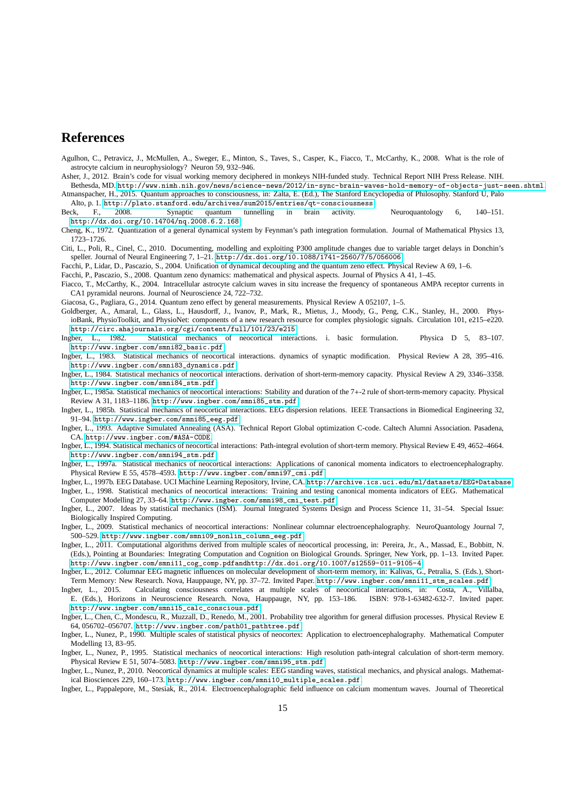# **References**

<span id="page-14-16"></span>Agulhon, C., Petravicz, J., McMullen, A., Sweger, E., Minton, S., Taves, S., Casper, K., Fiacco, T., McCarthy, K., 2008. What is the role of astrocyte calcium in neurophysiology? Neuron 59, 932–946.

<span id="page-14-9"></span>Asher, J., 2012. Brain's code for visual working memory deciphered in monkeys NIH-funded study. Technical Report NIH Press Release. NIH.

<span id="page-14-10"></span>Bethesda, MD. <http://www.nimh.nih.gov/news/science-news/2012/in-sync-brain-waves-hold-memory-of-objects-just-seen.shtml>. Atmanspacher, H., 2015. Quantum approaches to consciousness, in: Zalta, E. (Ed.), The Stanford Encyclopedia of Philosophy. Stanford U, Palo

Alto, p. 1. <http://plato.stanford.edu/archives/sum2015/entries/qt-consciousness>.

<span id="page-14-14"></span>Beck, F., 2008. Synaptic quantum tunnelling in brain activity. Neuroquantology 6, 140–151. <http://dx.doi.org/10.14704/nq.2008.6.2.168>.

<span id="page-14-17"></span>Cheng, K., 1972. Quantization of a general dynamical system by Feynman's path integration formulation. Journal of Mathematical Physics 13, 1723–1726.

<span id="page-14-27"></span>Citi, L., Poli, R., Cinel, C., 2010. Documenting, modelling and exploiting P300 amplitude changes due to variable target delays in Donchin's speller. Journal of Neural Engineering 7, 1–21. <http://dx.doi.org/10.1088/1741-2560/7/5/056006>.

<span id="page-14-11"></span>Facchi, P., Lidar, D., Pascazio, S., 2004. Unification of dynamical decoupling and the quantum zeno effect. Physical Review A 69, 1–6.

<span id="page-14-12"></span>Facchi, P., Pascazio, S., 2008. Quantum zeno dynamics: mathematical and physical aspects. Journal of Physics A 41, 1–45.

<span id="page-14-15"></span>Fiacco, T., McCarthy, K., 2004. Intracellular astrocyte calcium waves in situ increase the frequency of spontaneous AMPA receptor currents in CA1 pyramidal neurons. Journal of Neuroscience 24, 722–732.

<span id="page-14-13"></span>Giacosa, G., Pagliara, G., 2014. Quantum zeno effect by general measurements. Physical Review A 052107, 1–5.

- <span id="page-14-28"></span>Goldberger, A., Amaral, L., Glass, L., Hausdorff, J., Ivanov, P., Mark, R., Mietus, J., Moody, G., Peng, C.K., Stanley, H., 2000. PhysioBank, PhysioToolkit, and PhysioNet: components of a new research resource for complex physiologic signals. Circulation 101, e215–e220. <http://circ.ahajournals.org/cgi/content/full/101/23/e215>.<br>Ingber, L., 1982. Statistical mechanics of neocortical intera
- <span id="page-14-4"></span>Statistical mechanics of neocortical interactions. i. basic formulation. Physica D 5, 83-107. [http://www.ingber.com/smni82\\_basic.pdf](http://www.ingber.com/smni82_basic.pdf).
- <span id="page-14-5"></span>Ingber, L., 1983. Statistical mechanics of neocortical interactions. dynamics of synaptic modification. Physical Review A 28, 395–416. [http://www.ingber.com/smni83\\_dynamics.pdf](http://www.ingber.com/smni83_dynamics.pdf).
- <span id="page-14-6"></span>Ingber, L., 1984. Statistical mechanics of neocortical interactions. derivation of short-term-memory capacity. Physical Review A 29, 3346–3358. [http://www.ingber.com/smni84\\_stm.pdf](http://www.ingber.com/smni84_stm.pdf).
- <span id="page-14-7"></span>Ingber, L., 1985a. Statistical mechanics of neocortical interactions: Stability and duration of the 7+-2 rule of short-term-memory capacity. Physical Review A 31, 1183–1186. [http://www.ingber.com/smni85\\_stm.pdf](http://www.ingber.com/smni85_stm.pdf).
- <span id="page-14-20"></span>Ingber, L., 1985b. Statistical mechanics of neocortical interactions. EEG dispersion relations. IEEE Transactions in Biomedical Engineering 32, 91–94. [http://www.ingber.com/smni85\\_eeg.pdf](http://www.ingber.com/smni85_eeg.pdf).
- <span id="page-14-30"></span>Ingber, L., 1993. Adaptive Simulated Annealing (ASA). Technical Report Global optimization C-code. Caltech Alumni Association. Pasadena, CA. <http://www.ingber.com/#ASA-CODE>.
- <span id="page-14-8"></span>Ingber, L., 1994. Statistical mechanics of neocortical interactions: Path-integral evolution of short-term memory. Physical Review E 49, 4652–4664. [http://www.ingber.com/smni94\\_stm.pdf](http://www.ingber.com/smni94_stm.pdf).
- <span id="page-14-18"></span>Ingber, L., 1997a. Statistical mechanics of neocortical interactions: Applications of canonical momenta indicators to electroencephalography. Physical Review E 55, 4578–4593. [http://www.ingber.com/smni97\\_cmi.pdf](http://www.ingber.com/smni97_cmi.pdf).

<span id="page-14-26"></span>Ingber, L., 1997b. EEG Database. UCI Machine Learning Repository, Irvine, CA. <http://archive.ics.uci.edu/ml/datasets/EEG+Database>. Ingber, L., 1998. Statistical mechanics of neocortical interactions: Training and testing canonical momenta indicators of EEG. Mathematical

<span id="page-14-19"></span>Computer Modelling 27, 33–64. [http://www.ingber.com/smni98\\_cmi\\_test.pdf](http://www.ingber.com/smni98_cmi_test.pdf).

- <span id="page-14-29"></span>Ingber, L., 2007. Ideas by statistical mechanics (ISM). Journal Integrated Systems Design and Process Science 11, 31–54. Special Issue: Biologically Inspired Computing.
- <span id="page-14-22"></span>Ingber, L., 2009. Statistical mechanics of neocortical interactions: Nonlinear columnar electroencephalography. NeuroQuantology Journal 7, 500–529. [http://www.ingber.com/smni09\\_nonlin\\_column\\_eeg.pdf](http://www.ingber.com/smni09_nonlin_column_eeg.pdf).
- <span id="page-14-0"></span>Ingber, L., 2011. Computational algorithms derived from multiple scales of neocortical processing, in: Pereira, Jr., A., Massad, E., Bobbitt, N. (Eds.), Pointing at Boundaries: Integrating Computation and Cognition on Biological Grounds. Springer, New York, pp. 1–13. Invited Paper. [http://www.ingber.com/smni11\\_cog\\_comp.pdfandhttp://dx.doi.org/10.1007/s12559-011-9105-4](http://www.ingber.com/smni11_cog_comp.pdf and http://dx.doi.org/10.1007/s12559-011-9105-4).
- <span id="page-14-1"></span>Ingber, L., 2012. Columnar EEG magnetic influences on molecular development of short-term memory, in: Kalivas, G., Petralia, S. (Eds.), Short-Term Memory: New Research. Nova, Hauppauge, NY, pp. 37–72. Invited Paper. [http://www.ingber.com/smni11\\_stm\\_scales.pdf](http://www.ingber.com/smni11_stm_scales.pdf).
- <span id="page-14-2"></span>Ingber, L., 2015. Calculating consciousness correlates at multiple scales of neocortical interactions, in: Costa, A., Villalba, E. (Eds.), Horizons in Neuroscience Research. Nova, Hauppauge, NY, pp. 153–186. ISBN: 978-1-63482-632-7. Invited paper. [http://www.ingber.com/smni15\\_calc\\_conscious.pdf](http://www.ingber.com/smni15_calc_conscious.pdf).
- <span id="page-14-24"></span>Ingber, L., Chen, C., Mondescu, R., Muzzall, D., Renedo, M., 2001. Probability tree algorithm for general diffusion processes. Physical Review E 64, 056702–056707. [http://www.ingber.com/path01\\_pathtree.pdf](http://www.ingber.com/path01_pathtree.pdf).

<span id="page-14-21"></span>Ingber, L., Nunez, P., 1990. Multiple scales of statistical physics of neocortex: Application to electroencephalography. Mathematical Computer Modelling 13, 83–95.

- <span id="page-14-25"></span>Ingber, L., Nunez, P., 1995. Statistical mechanics of neocortical interactions: High resolution path-integral calculation of short-term memory. Physical Review E 51, 5074–5083. [http://www.ingber.com/smni95\\_stm.pdf](http://www.ingber.com/smni95_stm.pdf).
- <span id="page-14-23"></span>Ingber, L., Nunez, P., 2010. Neocortical dynamics at multiple scales: EEG standing waves, statistical mechanics, and physical analogs. Mathematical Biosciences 229, 160–173. [http://www.ingber.com/smni10\\_multiple\\_scales.pdf](http://www.ingber.com/smni10_multiple_scales.pdf).
- <span id="page-14-3"></span>Ingber, L., Pappalepore, M., Stesiak, R., 2014. Electroencephalographic field influence on calcium momentum waves. Journal of Theoretical